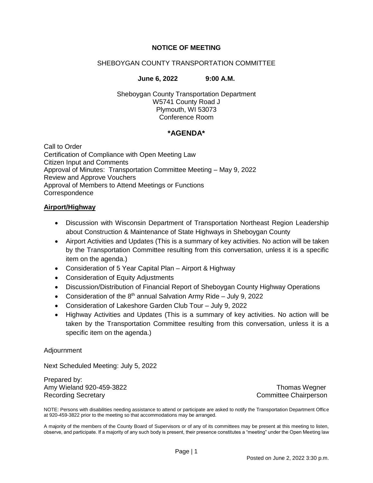# **NOTICE OF MEETING**

## SHEBOYGAN COUNTY TRANSPORTATION COMMITTEE

#### **June 6, 2022 9:00 A.M.**

Sheboygan County Transportation Department W5741 County Road J Plymouth, WI 53073 Conference Room

### **\*AGENDA\***

Call to Order Certification of Compliance with Open Meeting Law Citizen Input and Comments Approval of Minutes: Transportation Committee Meeting – May 9, 2022 Review and Approve Vouchers Approval of Members to Attend Meetings or Functions **Correspondence** 

#### **Airport/Highway**

- Discussion with Wisconsin Department of Transportation Northeast Region Leadership about Construction & Maintenance of State Highways in Sheboygan County
- Airport Activities and Updates (This is a summary of key activities. No action will be taken by the Transportation Committee resulting from this conversation, unless it is a specific item on the agenda.)
- Consideration of 5 Year Capital Plan Airport & Highway
- Consideration of Equity Adjustments
- Discussion/Distribution of Financial Report of Sheboygan County Highway Operations
- Consideration of the  $8<sup>th</sup>$  annual Salvation Army Ride July 9, 2022
- Consideration of Lakeshore Garden Club Tour July 9, 2022
- Highway Activities and Updates (This is a summary of key activities. No action will be taken by the Transportation Committee resulting from this conversation, unless it is a specific item on the agenda.)

#### Adjournment

Next Scheduled Meeting: July 5, 2022

Prepared by: Amy Wieland 920-459-3822 **Amy Wieland 920-459-3822** Thomas Wegner Recording Secretary **Committee Chairperson** 

NOTE: Persons with disabilities needing assistance to attend or participate are asked to notify the Transportation Department Office at 920-459-3822 prior to the meeting so that accommodations may be arranged.

A majority of the members of the County Board of Supervisors or of any of its committees may be present at this meeting to listen, observe, and participate. If a majority of any such body is present, their presence constitutes a "meeting" under the Open Meeting law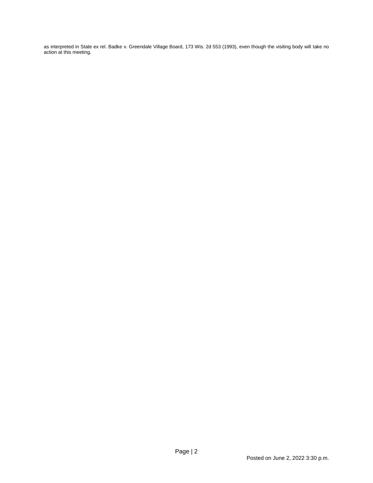as interpreted in State ex rel. Badke v. Greendale Village Board, 173 Wis. 2d 553 (1993), even though the visiting body will take no action at this meeting.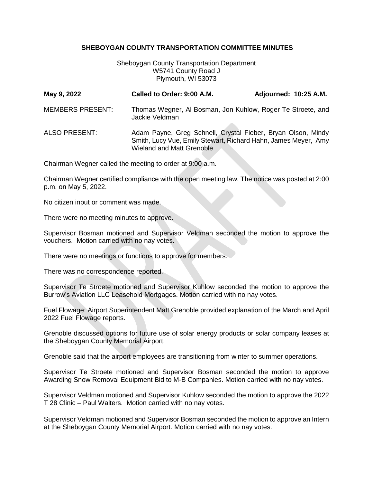### **SHEBOYGAN COUNTY TRANSPORTATION COMMITTEE MINUTES**

Sheboygan County Transportation Department W5741 County Road J Plymouth, WI 53073

| May 9, 2022             | Called to Order: 9:00 A.M.                                                                                                                                         | Adjourned: 10:25 A.M. |
|-------------------------|--------------------------------------------------------------------------------------------------------------------------------------------------------------------|-----------------------|
| <b>MEMBERS PRESENT:</b> | Thomas Wegner, Al Bosman, Jon Kuhlow, Roger Te Stroete, and<br>Jackie Veldman                                                                                      |                       |
| <b>ALSO PRESENT:</b>    | Adam Payne, Greg Schnell, Crystal Fieber, Bryan Olson, Mindy<br>Smith, Lucy Vue, Emily Stewart, Richard Hahn, James Meyer, Amy<br><b>Wieland and Matt Grenoble</b> |                       |

Chairman Wegner called the meeting to order at 9:00 a.m.

Chairman Wegner certified compliance with the open meeting law. The notice was posted at 2:00 p.m. on May 5, 2022.

No citizen input or comment was made.

There were no meeting minutes to approve.

Supervisor Bosman motioned and Supervisor Veldman seconded the motion to approve the vouchers. Motion carried with no nay votes.

There were no meetings or functions to approve for members.

There was no correspondence reported.

Supervisor Te Stroete motioned and Supervisor Kuhlow seconded the motion to approve the Burrow's Aviation LLC Leasehold Mortgages. Motion carried with no nay votes.

Fuel Flowage: Airport Superintendent Matt Grenoble provided explanation of the March and April 2022 Fuel Flowage reports.

Grenoble discussed options for future use of solar energy products or solar company leases at the Sheboygan County Memorial Airport.

Grenoble said that the airport employees are transitioning from winter to summer operations.

Supervisor Te Stroete motioned and Supervisor Bosman seconded the motion to approve Awarding Snow Removal Equipment Bid to M-B Companies. Motion carried with no nay votes.

Supervisor Veldman motioned and Supervisor Kuhlow seconded the motion to approve the 2022 T 28 Clinic – Paul Walters. Motion carried with no nay votes.

Supervisor Veldman motioned and Supervisor Bosman seconded the motion to approve an Intern at the Sheboygan County Memorial Airport. Motion carried with no nay votes.